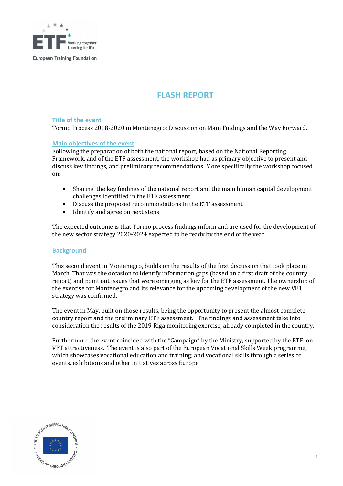

# **FLASH REPORT**

## **Title of the event**

Torino Process 2018-2020 in Montenegro: Discussion on Main Findings and the Way Forward.

#### **Main objectives of the event**

Following the preparation of both the national report, based on the National Reporting Framework, and of the ETF assessment, the workshop had as primary objective to present and discuss key findings, and preliminary recommendations. More specifically the workshop focused on:

- Sharing the key findings of the national report and the main human capital development challenges identified in the ETF assessment
- Discuss the proposed recommendations in the ETF assessment
- Identify and agree on next steps

The expected outcome is that Torino process findings inform and are used for the development of the new sector strategy 2020-2024 expected to be ready by the end of the year.

#### **Background**

This second event in Montenegro, builds on the results of the first discussion that took place in March. That was the occasion to identify information gaps (based on a first draft of the country report) and point out issues that were emerging as key for the ETF assessment. The ownership of the exercise for Montenegro and its relevance for the upcoming development of the new VET strategy was confirmed.

The event in May, built on those results, being the opportunity to present the almost complete country report and the preliminary ETF assessment. The findings and assessment take into consideration the results of the 2019 Riga monitoring exercise, already completed in the country.

Furthermore, the event coincided with the "Campaign" by the Ministry, supported by the ETF, on VET attractiveness. The event is also part of the European Vocational Skills Week programme, which showcases vocational education and training; and vocational skills through a series of events, exhibitions and other initiatives across Europe.

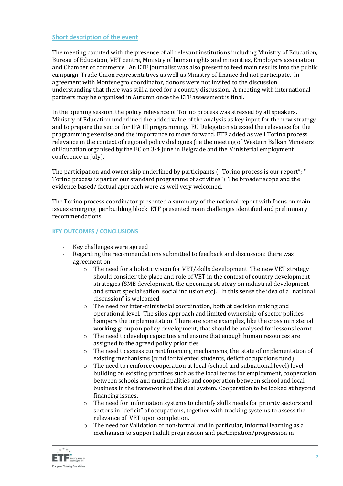### **Short description of the event**

The meeting counted with the presence of all relevant institutions including Ministry of Education, Bureau of Education, VET centre, Ministry of human rights and minorities, Employers association and Chamber of commerce. An ETF journalist was also present to feed main results into the public campaign. Trade Union representatives as well as Ministry of finance did not participate. In agreement with Montenegro coordinator, donors were not invited to the discussion understanding that there was still a need for a country discussion. A meeting with international partners may be organised in Autumn once the ETF assessment is final.

In the opening session, the policy relevance of Torino process was stressed by all speakers. Ministry of Education underlined the added value of the analysis as key input for the new strategy and to prepare the sector for IPA III programming. EU Delegation stressed the relevance for the programming exercise and the importance to move forward. ETF added as well Torino process relevance in the context of regional policy dialogues (i.e the meeting of Western Balkan Ministers of Education organised by the EC on 3-4 June in Belgrade and the Ministerial employment conference in July).

The participation and ownership underlined by participants (" Torino process is our report"; " Torino process is part of our standard programme of activities"). The broader scope and the evidence based/ factual approach were as well very welcomed.

The Torino process coordinator presented a summary of the national report with focus on main issues emerging per building block. ETF presented main challenges identified and preliminary recommendations

## **KEY OUTCOMES / CONCLUSIONS**

- Key challenges were agreed
- Regarding the recommendations submitted to feedback and discussion: there was agreement on
	- o The need for a holistic vision for VET/skills development. The new VET strategy should consider the place and role of VET in the context of country development strategies (SME development, the upcoming strategy on industrial development and smart specialisation, social inclusion etc). In this sense the idea of a "national discussion" is welcomed
	- o The need for inter-ministerial coordination, both at decision making and operational level. The silos approach and limited ownership of sector policies hampers the implementation. There are some examples, like the cross ministerial working group on policy development, that should be analysed for lessons learnt.
	- $\circ$  The need to develop capacities and ensure that enough human resources are assigned to the agreed policy priorities.
	- $\circ$  The need to assess current financing mechanisms, the state of implementation of existing mechanisms (fund for talented students, deficit occupations fund)
	- o The need to reinforce cooperation at local (school and subnational level) level building on existing practices such as the local teams for employment, cooperation between schools and municipalities and cooperation between school and local business in the framework of the dual system. Cooperation to be looked at beyond financing issues.
	- $\circ$  The need for information systems to identify skills needs for priority sectors and sectors in "deficit" of occupations, together with tracking systems to assess the relevance of VET upon completion.
	- $\circ$  The need for Validation of non-formal and in particular, informal learning as a mechanism to support adult progression and participation/progression in